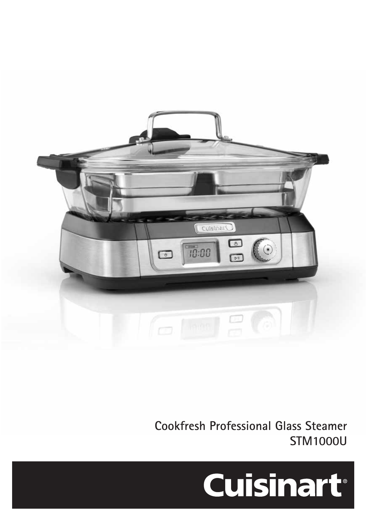

**Cookfresh Professional Glass Steamer STM1000U**

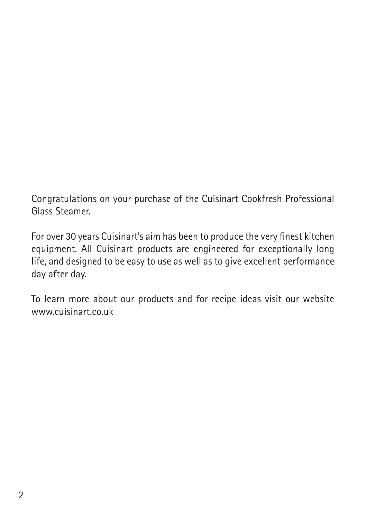Congratulations on your purchase of the Cuisinart Cookfresh Professional Glass Steamer.

For over 30 years Cuisinart's aim has been to produce the very finest kitchen equipment. All Cuisinart products are engineered for exceptionally long life, and designed to be easy to use as well as to give excellent performance day after day.

To learn more about our products and for recipe ideas visit our website www.cuisinart.co.uk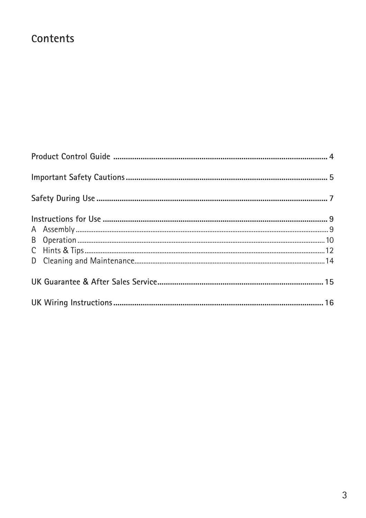# Contents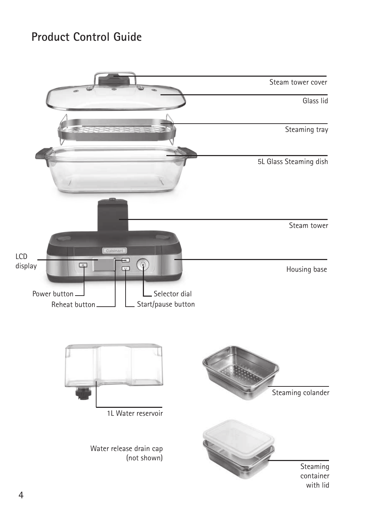### **Product Control Guide**

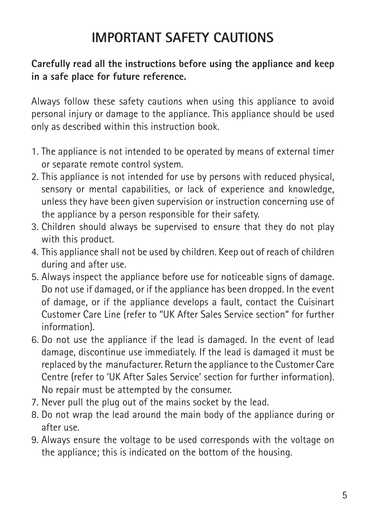# **IMPORTANT SAFETY CAUTIONS**

### **Carefully read all the instructions before using the appliance and keep in a safe place for future reference.**

Always follow these safety cautions when using this appliance to avoid personal injury or damage to the appliance. This appliance should be used only as described within this instruction book.

- 1. The appliance is not intended to be operated by means of external timer or separate remote control system.
- 2. This appliance is not intended for use by persons with reduced physical, sensory or mental capabilities, or lack of experience and knowledge, unless they have been given supervision or instruction concerning use of the appliance by a person responsible for their safety.
- 3. Children should always be supervised to ensure that they do not play with this product.
- 4. This appliance shall not be used by children. Keep out of reach of children during and after use.
- 5. Always inspect the appliance before use for noticeable signs of damage. Do not use if damaged, or if the appliance has been dropped. In the event of damage, or if the appliance develops a fault, contact the Cuisinart Customer Care Line (refer to "UK After Sales Service section" for further information).
- 6. Do not use the appliance if the lead is damaged. In the event of lead damage, discontinue use immediately. If the lead is damaged it must be replaced by the manufacturer. Return the appliance to the Customer Care Centre (refer to 'UK After Sales Service' section for further information). No repair must be attempted by the consumer.
- 7. Never pull the plug out of the mains socket by the lead.
- 8. Do not wrap the lead around the main body of the appliance during or after use.
- 9. Always ensure the voltage to be used corresponds with the voltage on the appliance; this is indicated on the bottom of the housing.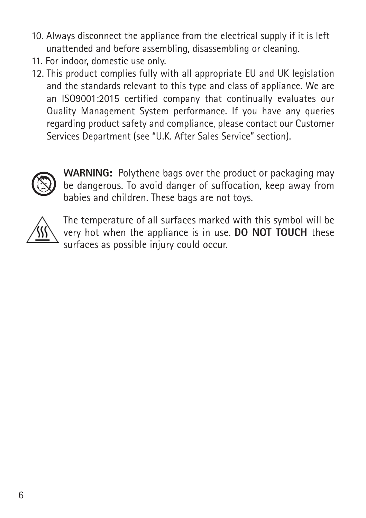- 10. Always disconnect the appliance from the electrical supply if it is left unattended and before assembling, disassembling or cleaning.
- 11. For indoor, domestic use only.
- 12. This product complies fully with all appropriate EU and UK legislation and the standards relevant to this type and class of appliance. We are an ISO9001:2015 certified company that continually evaluates our Quality Management System performance. If you have any queries regarding product safety and compliance, please contact our Customer Services Department (see "U.K. After Sales Service" section).



**WARNING:** Polythene bags over the product or packaging may be dangerous. To avoid danger of suffocation, keep away from babies and children. These bags are not toys.



The temperature of all surfaces marked with this symbol will be very hot when the appliance is in use. **DO NOT TOUCH** these surfaces as possible injury could occur.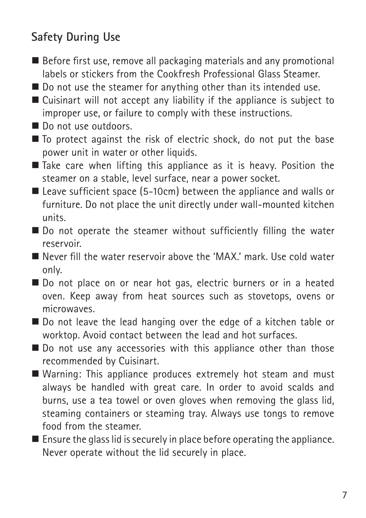# **Safety During Use**

- $\blacksquare$  Before first use, remove all packaging materials and any promotional labels or stickers from the Cookfresh Professional Glass Steamer.
- $\blacksquare$  Do not use the steamer for anything other than its intended use.
- $\blacksquare$  Cuisinart will not accept any liability if the appliance is subject to improper use, or failure to comply with these instructions.
- Do not use outdoors.
- $\blacksquare$  To protect against the risk of electric shock, do not put the base power unit in water or other liquids.
- $\blacksquare$  Take care when lifting this appliance as it is heavy. Position the steamer on a stable, level surface, near a power socket.
- $\blacksquare$  Leave sufficient space (5-10cm) between the appliance and walls or furniture. Do not place the unit directly under wall-mounted kitchen units.
- $\blacksquare$  Do not operate the steamer without sufficiently filling the water reservoir.
- Never fill the water reservoir above the 'MAX.' mark. Use cold water only.
- Do not place on or near hot gas, electric burners or in a heated oven. Keep away from heat sources such as stovetops, ovens or microwaves.
- Do not leave the lead hanging over the edge of a kitchen table or worktop. Avoid contact between the lead and hot surfaces.
- $\blacksquare$  Do not use any accessories with this appliance other than those recommended by Cuisinart.
- $\blacksquare$  Warning: This appliance produces extremely hot steam and must always be handled with great care. In order to avoid scalds and burns, use a tea towel or oven gloves when removing the glass lid, steaming containers or steaming tray. Always use tongs to remove food from the steamer.
- $\blacksquare$  Ensure the glass lid is securely in place before operating the appliance. Never operate without the lid securely in place.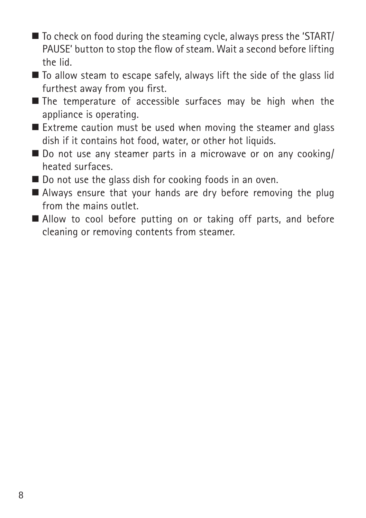- To check on food during the steaming cycle, always press the 'START/ PAUSE' button to stop the flow of steam. Wait a second before lifting the lid.
- $\blacksquare$  To allow steam to escape safely, always lift the side of the glass lid furthest away from you first.
- $\blacksquare$  The temperature of accessible surfaces may be high when the appliance is operating.
- $\blacksquare$  Extreme caution must be used when moving the steamer and glass dish if it contains hot food, water, or other hot liquids.
- $\blacksquare$  Do not use any steamer parts in a microwave or on any cooking/ heated surfaces.
- $\blacksquare$  Do not use the glass dish for cooking foods in an oven.
- $\blacksquare$  Always ensure that your hands are dry before removing the plug from the mains outlet.
- Allow to cool before putting on or taking off parts, and before cleaning or removing contents from steamer.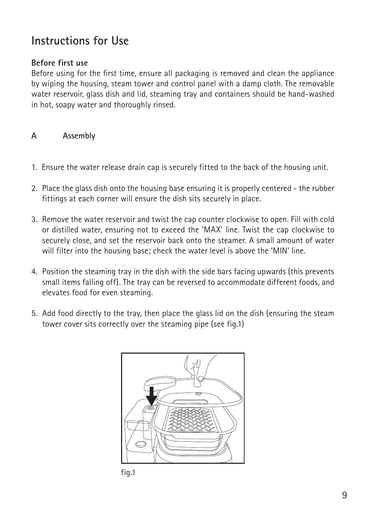### **Instructions for Use**

#### **Before first use**

Before using for the first time, ensure all packaging is removed and clean the appliance by wiping the housing, steam tower and control panel with a damp cloth. The removable water reservoir, glass dish and lid, steaming tray and containers should be hand-washed in hot, soapy water and thoroughly rinsed.

### **A Assembly**

- 1. Ensure the water release drain cap is securely fitted to the back of the housing unit.
- 2. Place the glass dish onto the housing base ensuring it is properly centered the rubber fittings at each corner will ensure the dish sits securely in place.
- 3. Remove the water reservoir and twist the cap counter clockwise to open. Fill with cold or distilled water, ensuring not to exceed the 'MAX' line. Twist the cap clockwise to securely close, and set the reservoir back onto the steamer. A small amount of water will filter into the housing base; check the water level is above the 'MIN' line.
- 4. Position the steaming tray in the dish with the side bars facing upwards (this prevents small items falling off). The tray can be reversed to accommodate different foods, and elevates food for even steaming.
- 5. Add food directly to the tray, then place the glass lid on the dish (ensuring the steam tower cover sits correctly over the steaming pipe (see fig.1)



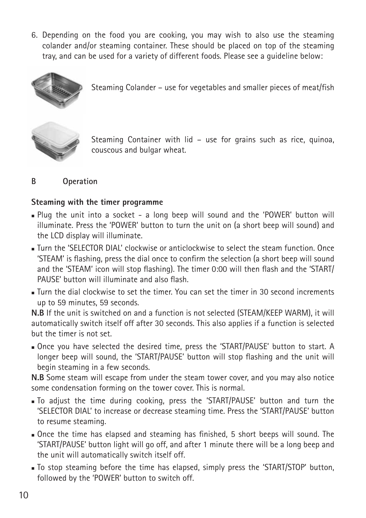6. Depending on the food you are cooking, you may wish to also use the steaming colander and/or steaming container. These should be placed on top of the steaming tray, and can be used for a variety of different foods. Please see a guideline below:



Steaming Colander – use for vegetables and smaller pieces of meat/fish



Steaming Container with lid – use for grains such as rice, quinoa, couscous and bulgar wheat.

#### **B Operation**

#### **Steaming with the timer programme**

- $\blacksquare$  Plug the unit into a socket a long beep will sound and the 'POWER' button will illuminate. Press the 'POWER' button to turn the unit on (a short beep will sound) and the LCD display will illuminate.
- **J** Turn the 'SELECTOR DIAL' clockwise or anticlockwise to select the steam function. Once 'STEAM' is flashing, press the dial once to confirm the selection (a short beep will sound and the 'STEAM' icon will stop flashing). The timer 0:00 will then flash and the 'START/ PAUSE' button will illuminate and also flash.
- $\blacksquare$  Turn the dial clockwise to set the timer. You can set the timer in 30 second increments. up to 59 minutes, 59 seconds.

**N.B** If the unit is switched on and a function is not selected (STEAM/KEEP WARM), it will automatically switch itself off after 30 seconds. This also applies if a function is selected but the timer is not set.

**n** Once you have selected the desired time, press the 'START/PAUSE' button to start. A longer beep will sound, the 'START/PAUSE' button will stop flashing and the unit will begin steaming in a few seconds.

**N.B** Some steam will escape from under the steam tower cover, and you may also notice some condensation forming on the tower cover. This is normal.

- <sup>n</sup> To adjust the time during cooking, press the 'START/PAUSE' button and turn the 'SELECTOR DIAL' to increase or decrease steaming time. Press the 'START/PAUSE' button to resume steaming.
- <sup>n</sup> Once the time has elapsed and steaming has finished, 5 short beeps will sound. The 'START/PAUSE' button light will go off, and after 1 minute there will be a long beep and the unit will automatically switch itself off.
- To stop steaming before the time has elapsed, simply press the 'START/STOP' button, followed by the 'POWER' button to switch off.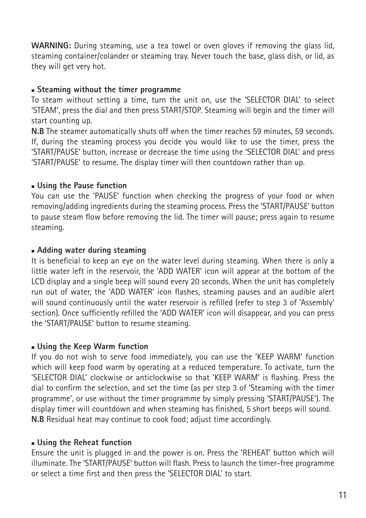**WARNING:** During steaming, use a tea towel or oven gloves if removing the glass lid, steaming container/colander or steaming tray. Never touch the base, glass dish, or lid, as they will get very hot.

#### <sup>n</sup> **Steaming without the timer programme**

To steam without setting a time, turn the unit on, use the 'SELECTOR DIAL' to select 'STEAM', press the dial and then press START/STOP. Steaming will begin and the timer will start counting up.

**N.B** The steamer automatically shuts off when the timer reaches 59 minutes, 59 seconds. If, during the steaming process you decide you would like to use the timer, press the 'START/PAUSE' button, increase or decrease the time using the 'SELECTOR DIAL' and press 'START/PAUSE' to resume. The display timer will then countdown rather than up.

#### $\blacksquare$  **Using the Pause function**

You can use the 'PAUSE' function when checking the progress of your food or when removing/adding ingredients during the steaming process. Press the 'START/PAUSE' button to pause steam flow before removing the lid. The timer will pause; press again to resume steaming.

#### **n** Adding water during steaming

It is beneficial to keep an eye on the water level during steaming. When there is only a little water left in the reservoir, the 'ADD WATER' icon will appear at the bottom of the LCD display and a single beep will sound every 20 seconds. When the unit has completely run out of water, the 'ADD WATER' icon flashes, steaming pauses and an audible alert will sound continuously until the water reservoir is refilled (refer to step 3 of 'Assembly' section). Once sufficiently refilled the 'ADD WATER' icon will disappear, and you can press the 'START/PAUSE' button to resume steaming.

#### <sup>n</sup> **Using the Keep Warm function**

If you do not wish to serve food immediately, you can use the 'KEEP WARM' function which will keep food warm by operating at a reduced temperature. To activate, turn the 'SELECTOR DIAL' clockwise or anticlockwise so that 'KEEP WARM' is flashing. Press the dial to confirm the selection, and set the time (as per step 3 of 'Steaming with the timer programme', or use without the timer programme by simply pressing 'START/PAUSE'). The display timer will countdown and when steaming has finished, 5 short beeps will sound. **N.B** Residual heat may continue to cook food; adjust time accordingly.

#### <sup>n</sup> **Using the Reheat function**

Ensure the unit is plugged in and the power is on. Press the 'REHEAT' button which will illuminate. The 'START/PAUSE' button will flash. Press to launch the timer-free programme or select a time first and then press the 'SELECTOR DIAL' to start.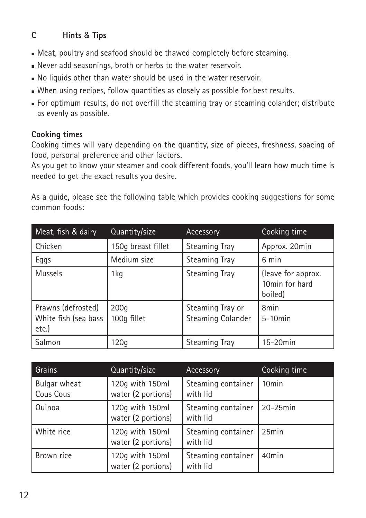### **C Hints** & **Tips**

- $\blacksquare$  Meat, poultry and seafood should be thawed completely before steaming.
- <sup>n</sup> Never add seasonings, broth or herbs to the water reservoir.
- $\blacksquare$  No liquids other than water should be used in the water reservoir.
- $\blacksquare$  When using recipes, follow quantities as closely as possible for best results.
- <sup>n</sup> For optimum results, do not overfill the steaming tray or steaming colander; distribute as evenly as possible.

#### **Cooking times**

Cooking times will vary depending on the quantity, size of pieces, freshness, spacing of food, personal preference and other factors.

As you get to know your steamer and cook different foods, you'll learn how much time is needed to get the exact results you desire.

As a guide, please see the following table which provides cooking suggestions for some common foods:

| Meat, fish & dairy                                  | Quantity/size       | Accessory                             | Cooking time                                    |
|-----------------------------------------------------|---------------------|---------------------------------------|-------------------------------------------------|
| Chicken                                             | 150g breast fillet  | <b>Steaming Tray</b>                  | Approx. 20min                                   |
| Eggs                                                | Medium size         | <b>Steaming Tray</b>                  | 6 min                                           |
| <b>Mussels</b>                                      | 1kg                 | <b>Steaming Tray</b>                  | (leave for approx.<br>10min for hard<br>boiled) |
| Prawns (defrosted)<br>White fish (sea bass<br>etc.) | 200q<br>100g fillet | Steaming Tray or<br>Steaming Colander | 8 <sub>min</sub><br>$5-10$ min                  |
| Salmon                                              | 120q                | <b>Steaming Tray</b>                  | $15-20$ min                                     |

| Grains                    | Quantity/size                         | Accessory                      | Cooking time      |
|---------------------------|---------------------------------------|--------------------------------|-------------------|
| Bulgar wheat<br>Cous Cous | 120g with 150ml<br>water (2 portions) | Steaming container<br>with lid | 10 <sub>min</sub> |
| Quinoa                    | 120g with 150ml<br>water (2 portions) | Steaming container<br>with lid | $20-25$ min       |
| White rice                | 120g with 150ml<br>water (2 portions) | Steaming container<br>with lid | 25min             |
| Brown rice                | 120g with 150ml<br>water (2 portions) | Steaming container<br>with lid | 40 <sub>min</sub> |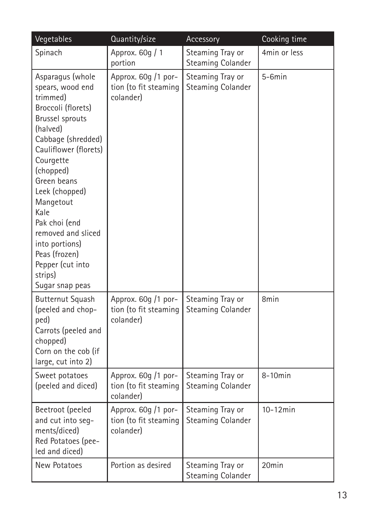| Vegetables                                                                                                                                                                                                                                                                                                                                                       | Quantity/size                                             | Accessory                                    | Cooking time |
|------------------------------------------------------------------------------------------------------------------------------------------------------------------------------------------------------------------------------------------------------------------------------------------------------------------------------------------------------------------|-----------------------------------------------------------|----------------------------------------------|--------------|
| Spinach                                                                                                                                                                                                                                                                                                                                                          | Approx. 60g / 1<br>portion                                | Steaming Tray or<br><b>Steaming Colander</b> | 4min or less |
| Asparagus (whole<br>spears, wood end<br>trimmed)<br>Broccoli (florets)<br>Brussel sprouts<br>(halved)<br>Cabbage (shredded)<br>Cauliflower (florets)<br>Courgette<br>(chopped)<br>Green beans<br>Leek (chopped)<br>Mangetout<br>Kale<br>Pak choi (end<br>removed and sliced<br>into portions)<br>Peas (frozen)<br>Pepper (cut into<br>strips)<br>Sugar snap peas | Approx. 60g /1 por-<br>tion (to fit steaming<br>colander) | Steaming Tray or<br><b>Steaming Colander</b> | $5-6min$     |
| Butternut Squash<br>(peeled and chop-<br>ped)<br>Carrots (peeled and<br>chopped)<br>Corn on the cob (if<br>large, cut into 2)                                                                                                                                                                                                                                    | Approx. 60g /1 por-<br>tion (to fit steaming<br>colander) | Steaming Tray or<br><b>Steaming Colander</b> | 8min         |
| Sweet potatoes<br>(peeled and diced)                                                                                                                                                                                                                                                                                                                             | Approx. 60g /1 por-<br>tion (to fit steaming<br>colander) | Steaming Tray or<br><b>Steaming Colander</b> | $8-10$ min   |
| Beetroot (peeled<br>and cut into seg-<br>ments/diced)<br>Red Potatoes (pee-<br>led and diced)                                                                                                                                                                                                                                                                    | Approx. 60g /1 por-<br>tion (to fit steaming<br>colander) | Steaming Tray or<br>Steaming Colander        | $10-12min$   |
| New Potatoes                                                                                                                                                                                                                                                                                                                                                     | Portion as desired                                        | Steaming Tray or<br><b>Steaming Colander</b> | 20min        |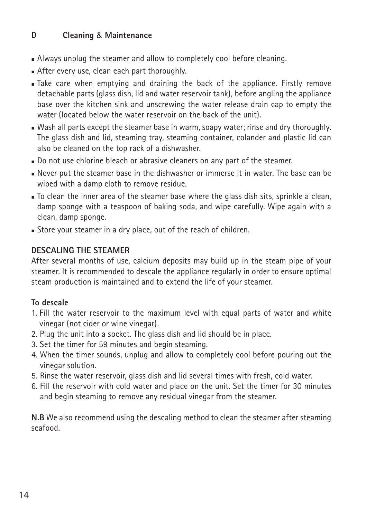### **D Cleaning** & **Maintenance**

- **Always unplug the steamer and allow to completely cool before cleaning.**
- **After every use, clean each part thoroughly.**
- <sup>n</sup> Take care when emptying and draining the back of the appliance. Firstly remove detachable parts (glass dish, lid and water reservoir tank), before angling the appliance base over the kitchen sink and unscrewing the water release drain cap to empty the water (located below the water reservoir on the back of the unit).
- . Wash all parts except the steamer base in warm, soapy water; rinse and dry thoroughly. The glass dish and lid, steaming tray, steaming container, colander and plastic lid can also be cleaned on the top rack of a dishwasher.
- Do not use chlorine bleach or abrasive cleaners on any part of the steamer.
- <sup>n</sup> Never put the steamer base in the dishwasher or immerse it in water. The base can be wiped with a damp cloth to remove residue.
- $\blacksquare$  To clean the inner area of the steamer base where the glass dish sits, sprinkle a clean, damp sponge with a teaspoon of baking soda, and wipe carefully. Wipe again with a clean, damp sponge.
- **Store your steamer in a dry place, out of the reach of children.**

#### **DESCALING THE STEAMER**

After several months of use, calcium deposits may build up in the steam pipe of your steamer. It is recommended to descale the appliance regularly in order to ensure optimal steam production is maintained and to extend the life of your steamer.

#### **To descale**

- 1. Fill the water reservoir to the maximum level with equal parts of water and white vinegar (not cider or wine vinegar).
- 2. Plug the unit into a socket. The glass dish and lid should be in place.
- 3. Set the timer for 59 minutes and begin steaming.
- 4. When the timer sounds, unplug and allow to completely cool before pouring out the vinegar solution.
- 5. Rinse the water reservoir, glass dish and lid several times with fresh, cold water.
- 6. Fill the reservoir with cold water and place on the unit. Set the timer for 30 minutes and begin steaming to remove any residual vinegar from the steamer.

**N.B** We also recommend using the descaling method to clean the steamer after steaming seafood.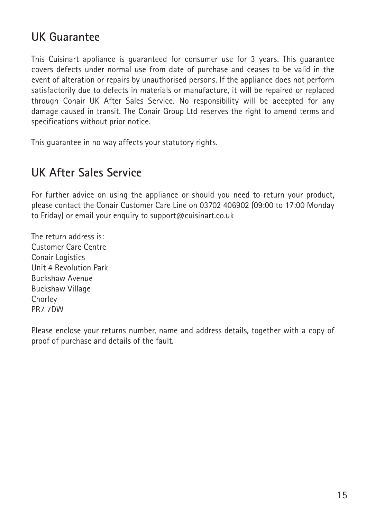## **UK Guarantee**

This Cuisinart appliance is guaranteed for consumer use for 3 years. This guarantee covers defects under normal use from date of purchase and ceases to be valid in the event of alteration or repairs by unauthorised persons. If the appliance does not perform satisfactorily due to defects in materials or manufacture, it will be repaired or replaced through Conair UK After Sales Service. No responsibility will be accepted for any damage caused in transit. The Conair Group Ltd reserves the right to amend terms and specifications without prior notice.

This guarantee in no way affects your statutory rights.

### **UK After Sales Service**

For further advice on using the appliance or should you need to return your product, please contact the Conair Customer Care Line on 03702 406902 (09:00 to 17:00 Monday to Friday) or email your enquiry to support@cuisinart.co.uk

The return address is: Customer Care Centre Conair Logistics Unit 4 Revolution Park Buckshaw Avenue Buckshaw Village **Chorley** PR7 7DW

Please enclose your returns number, name and address details, together with a copy of proof of purchase and details of the fault.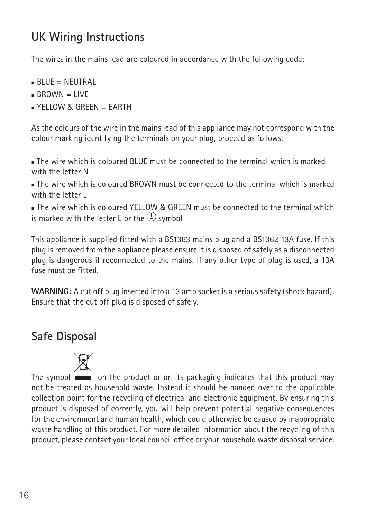## **UK Wiring Instructions**

The wires in the mains lead are coloured in accordance with the following code:

- $BIIIF = NIITRAL$
- $BROWN = IIVF$
- $N = YFI10W$  & GREEN = EARTH

As the colours of the wire in the mains lead of this appliance may not correspond with the colour marking identifying the terminals on your plug, proceed as follows:

<sup>n</sup> The wire which is coloured BLUE must be connected to the terminal which is marked with the letter N

 $\blacksquare$  The wire which is coloured BROWN must be connected to the terminal which is marked with the letter I

 $\bullet$  The wire which is coloured YELLOW & GREEN must be connected to the terminal which is marked with the letter E or the  $\bigoplus$  symbol

This appliance is supplied fitted with a BS1363 mains plug and a BS1362 13A fuse. If this plug is removed from the appliance please ensure it is disposed of safely as a disconnected plug is dangerous if reconnected to the mains. If any other type of plug is used, a 13A fuse must be fitted.

**WARNING:** A cut off plug inserted into a 13 amp socket is a serious safety (shock hazard). Ensure that the cut off plug is disposed of safely.

## **Safe Disposal**

The symbol **on** the product or on its packaging indicates that this product may not be treated as household waste. Instead it should be handed over to the applicable collection point for the recycling of electrical and electronic equipment. By ensuring this product is disposed of correctly, you will help prevent potential negative consequences for the environment and human health, which could otherwise be caused by inappropriate waste handling of this product. For more detailed information about the recycling of this product, please contact your local council office or your household waste disposal service.